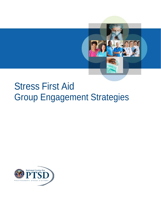

# Stress First Aid Group Engagement Strategies

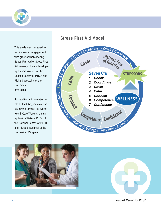

This guide was designed to to increase engagement with groups when offering Stress First Aid or Stress First Aid trainings. It was developed by Patricia Watson of the NationalCenter for PTSD, and Richard Westphal of the **University** of Virginia.

For additional information on Stress First Aid, you may also review the Stress First Aid for Health Care Workers Manual, by Patricia Watson, Ph.D., of the National Center for PTSD, and Richard Westphal of the University of Virginia.



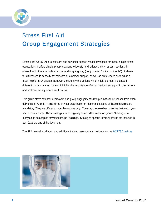

## Stress First Aid **Group Engagement Strategies**

Stress First Aid (SFA) is a self-care and coworker support model developed for those in high-stress occupations. It offers simple, practical actions to identify and address early stress reactions in oneself and others in both an acute and ongoing way (not just after "critical incidents"). It allows for differences in capacity for self-care or coworker support, as well as preferences as to what is most helpful. SFA gives a framework to identify the actions which might be most indicated in different circumstances. It also highlights the importance of organizations engaging in discussions and problem-solving around work stress.

This guide offers potential icebreakers and group engagement strategies that can be chosen from when delivering SFA or SFA trainings in your organization or department. None of these strategies are mandatory. They are offered as possible options only. You may choose other strategies that match your needs more closely. These strategies were originally compiled for in-person groups / trainings, but many could be adapted for virtual groups / trainings. Strategies specific to virtual groups are included in item 22 at the end of the document.

The SFA manual, workbook, and additional training resources can be found on the *[NCPTSD](https://www.ptsd.va.gov/professional/treat/type/stress_first_aid.asp) website*.

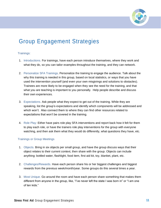

### Group Engagement Strategies

#### Trainings:

- 1. Introductions. For trainings, have each person introduce themselves, where they work and what they do, so you can tailor examples throughout the training, and they can network.
- 2. Personalize SFA Trainings. Personalize the training to engage the audience. Talk about the why this training is needed in this group, based on local statistics, or ways that you have used the intervention yourself (and even your own misgivings and solutions to obstacles). Trainees are more likely to be engaged when they see the need for the training, and that what you are teaching is important to you personally. Help people describe and discuss their own experiences.
- 3. Expectations. Ask people what they expect to get out of the training. While they are speaking, list the group's expectations and identify which components will be addressed and which won't. Also connect them to where they can find other resources related to expectations that won't be covered in the training.
- 4. Role Play: Either have pairs role play SFA interventions and report back how it felt for them to play each role, or have the trainers role play interventions for the group with everyone watching, and then ask them what they would do differently, what questions they have, etc.

#### Trainings or Group Meetings

- 1. Objects. Bring in six objects per small group, and have the group discuss ways that their object relates to their current context, then share with the group. Objects can include anything: bottled water, flashlight, food item, first aid kit, toy, blanket, plant, etc.
- 2. Challenges/Rewards. Have each person share his or her biggest challenges and biggest rewards from the previous week/month/year. Some groups do this several times a year.
- 3. Most Unique. Go around the room and have each person share something that makes them different from anyone in the group, like, "I've never left the state I was born in" or "I am one of ten kids."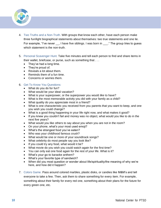

- 4. Two Truths and a Non-Truth. With groups that know each other, have each person make three fun/light biographical statements about themselves: two true statements and one lie. For example, "I've never \_\_, I have five siblings. I was born in \_\_\_." The group tries to guess which statement is the non-truth.
- 5. Personal Scavenger Hunt. Take five minutes and tell each person to find and share items in their wallet, briefcase, or purse, such as something that . . .
	- They've had a long time.
	- They're proud of.
	- Reveals a lot about them.
	- Reminds them of a fun time.
	- Concerns or worries them.

#### 6. Get To Know You Questions:

- What do you do for fun?
- What would be your ideal vacation?
- What is your superpower, or the superpower you would *like* to have?
- What is the most memorable activity you did with your family as a child?
- What quality do you appreciate most in a friend?
- What is one characteristic you received from you parents that you want to keep, and one you wish you could change?
- What is a good thing happening in your life right now, and what makes it good?
- If you knew you couldn't fail and money was no object, what would you like to do in the next five years?
- What would you like others to say about you when you are not in the room?
- On your phone, what's your most used emoji?
- What's the strangest food you've eaten?
- Who was your childhood famous crush?
- What would be one or more of your soundtrack songs?
- What celebrity do most people say you look like?
- If you could try any food, what would it be?
- What movie do you wish you could watch again for the first time?
- You can only eat one food again for the rest of your life. What is it?
- What's your go-to karaoke anthem?
- What's your favorite type of sandwich?
- When did you most question or wonder about life/spirituality/the meaning of why we're here, and how did it happen?
- 7. Colors Game. Pass around colored marbles, plastic disks, or candies like M&M's and tell everyone to take a few. Then, ask them to share something for every item. For example, something about their family for every red one, something about their plans for the future for every green one, etc.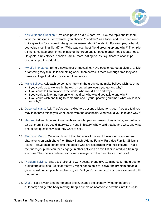

- 8. You Write the Question. Give each person a 3 X 5 card. You pick the topic and let them write the questions. For example, you choose "friendship" as a topic, and they each write out a question for anyone in the group to answer about friendship. For example, "What do you value most in a friend?" or, "Who was your best friend growing up and why?" Then pile all the cards face down in the middle of the group and let people draw. Topic ideas: jobs, life goals, funny stories, hobbies, family, fears, dating issues, significant relationships, relationship with God, etc.
- 9. My Life in Pictures. Bring a newspaper or magazine. Have people tear out a picture, article or anything they think tells something about themselves. If there's enough time they can make a collage that tells more about themselves.
- 10. Make Believe. Ask each person to share with the group some make believe wish, such as:
	- If you could go anywhere in the world now, where would you go and why?
	- If you could talk to anyone in the world, who would it be and why?
	- If you could talk to any person who has died, who would you talk to and why?
	- If you could wish one thing to come true about your upcoming summer, what would it be and why?
- 11. Deserted Island. Ask, "You've been exiled to a deserted island for a year. You are told you may take three things you want, apart from the essentials. What would you take and why?"
- 12. Heroes. Ask each person to name three people, past or present, they admire, and tell why. Or ask them if they could interview anyone in history, who would that be and why, and what one or two questions would they want to ask?
- 13. Find your Match. Cut up a photo of the characters form an old television show so one character is on each photo (i.e., Brady Bunch, Adams Family, Partridge Family, Gilligan's Island). Have each person find the people who are associated with their picture. That's their new group that can then engage in other activities on this list or related to a training exercise. They have to interact with almost everyone in the room to find their spot.
- 14. Problem-Solving. Share a challenging work scenario and give 10 minutes for the group to brainstorm solutions. Be clear that you might not be able to "solve" the problem but as a group could come up with creative ways to "mitigate" the problem or stress associated with the problem.
- 15. Walk. Take a walk together to get a break, change the scenery (whether indoors or outdoors) and get the body moving. Keep it simple or incorporate activities into the walk.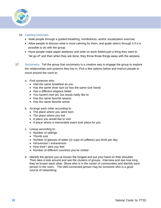

### 16. Calming exercises.

- Walk people through a guided breathing, mindfulness, and/or visualization exercise.
- Allow people to discuss what is most calming for them, and guide others through it if it is possible to do with the group.
- Have people make paper airplanes and write on each folded part a thing they want to "let go of" and then when they are done, they throw those things away with the airplane.
- 17. Sociometry. Tell the group that sociometry is a creative way to engage the group to explore the relationships and systems they live in. Pick a few options below and instruct people to move around the room to:
	- a. Find someone who:
		- Had the same breakfast as you
		- Has the same shoe size (or has the same size hand)
		- Has a different religious belief
		- You haven't met yet, but would really like to
		- Has the same favorite season
		- Has the same favorite sense
	- b. Arrange each other according to:
		- The place where you were born
		- The place where you live
		- A place you would like to visit
		- A place where a memorable event took place for you
	- c. Lineup according to:
		- Number of siblings
		- Thumb size
		- Number of glasses of water (or cups of caffeine) you drink per day
		- Introversion / extraversion
		- How tired / alert you feel
		- Number of different countries you've visited
	- d. Identify the person you've known the longest and put your hand on their shoulder. Then take a look around and see the clusters of groups. Interview and see how long they've known each other. Show who is in the center of communities and identify each person in the room. The well-connected person may be someone who is a good source of networking.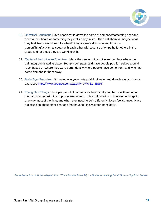

- 18. Universal Sentiment. Have people write down the name of someone/something near and dear to their heart, or something they really enjoy in life. Then ask them to imagine what they feel like or would feel like when/if they are/were disconnected from that person/thing/activity, to speak with each other with a sense of empathy for others in the group and for those they are working with.
- 19. Center of the Universe Energizer. Make the center of the universe the place where the training/group is taking place. Set up a compass, and have people position selves around room based on where they were born. Identify where people have come from, and who has come from the farthest away.
- 20. Brain Gym Energizer. At breaks, everyone gets a drink of water and does brain gym hands exercises [https://www.youtube.com/watch?v=AWvS1\\_lES9Y](https://www.youtube.com/watch?v=AWvS1_lES9Y)
- 21. Trying New Things. Have people fold their arms as they usually do, then ask them to put their arms folded with the opposite arm in front. It is an illustration of how we do things in one way most of the time, and when they need to do it differently, it can feel strange. Have a discussion about other changes that have felt this way for them lately.

*Some items from this list adapted from "The Ultimate Road Trip: a Guide to Leading Small Groups" by Rick James.*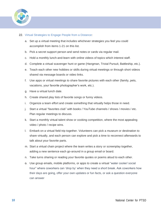

#### 22. Virtual Strategies to Engage People from a Distance:

- a. Set up a virtual meeting that includes whichever strategies you feel you could accomplish from items 1-21 on this list.
- b. Pick a secret support person and send notes or cards via regular mail.
- c. Hold a monthly lunch-and-learn with online videos of topics which interest staff.
- d. Complete a virtual scavenger hunt or game (Hangman, Trivial Pursuit, Battleship, etc.).
- e. Teach each other new hobbies or skills during virtual meetings or through short videos shared via message boards or video links.
- f. Use apps or virtual meetings to share favorite pictures with each other (family, pets, vacations, your favorite photographer's work, etc.).
- g. Have a virtual lunch date.
- h. Create shared play lists of favorite songs or funny videos.
- i. Organize a team effort and create something that virtually helps those in need.
- j. Start a virtual "favorites club" with books / YouTube channels / shows / movies / etc. Plan regular meetings to discuss.
- k. Start a monthly virtual talent show or cooking competition, where the most appealing video / photo / recipe wins.
- l. Embark on a virtual field trip together. Volunteers can pick a museum or destination to share virtually, and each person can explore and pick a time to reconnect afterwards to talk about your favorite parts.
- m. Start a virtual chain project where the team writes a story or screenplay together, adding a new sentence each go-around in a group email or board.
- n. Take turns sharing or reading your favorite quotes or poems aloud to each other.
- o. Use group emails, mobile platforms, or apps to create a virtual "water cooler/ social hour" where coworkers can 'drop by' when they need a short break. Ask coworkers how their days are going, offer your own updates or fun facts, or ask a question everyone can answer